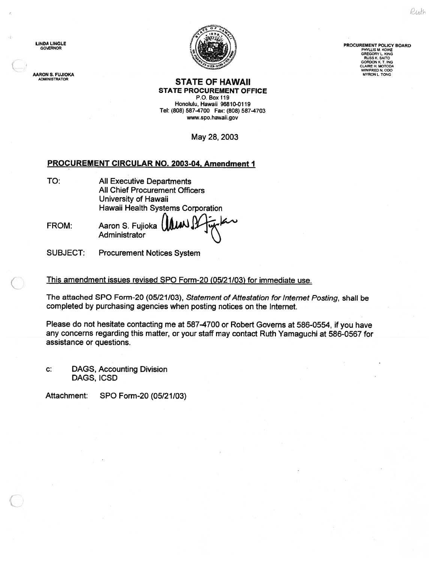AARON S. FUJIOKA



ADMINISTRATOR **STATE OF HAWAII** STATE PROCUREMENT OFFICE

P.O. Box 119 Honolulu, Hawaii 96810-0119 Tel: (808) 587-4700 Fax: (808) 587-4703 www.spo.hawaii.gov

May 28, 2003

## PROCUREMENT CIRCULAR NO. 2003-04, Amendment I

TO: All Executive Departments All Chief Procurement Officers University of Hawaii Hawaii Health Systems Corporation

FROM: Aaron S. Fujioka Administrator

SUBJECT: Procurement Notices System

This amendment issues revised SPO Form-20 (05/21/03) for immediate use.

The attached SPO Form-20 (05/21/03), Statement of Attestation for Internet Posting, shall be completed by purchasing agencies when posting notices on the Internet.

Please do not hesitate contacting me at 587-4700 or Robert Governs at 586-0554, if you have any concerns regarding this matter, or your staff may contact Ruth Yamaguchi at 586-0567 for assistance or questions.

C: DAGS, Accounting Division DAGS, ICSD

C

Attachment: SPO Form-20 (05/21/03)

GREGORY L. KING<br>RUSS K. SAITO<br>GORDON K. T. ING<br>CLAIRE H. MOTODA

WINIFRED N. ODD